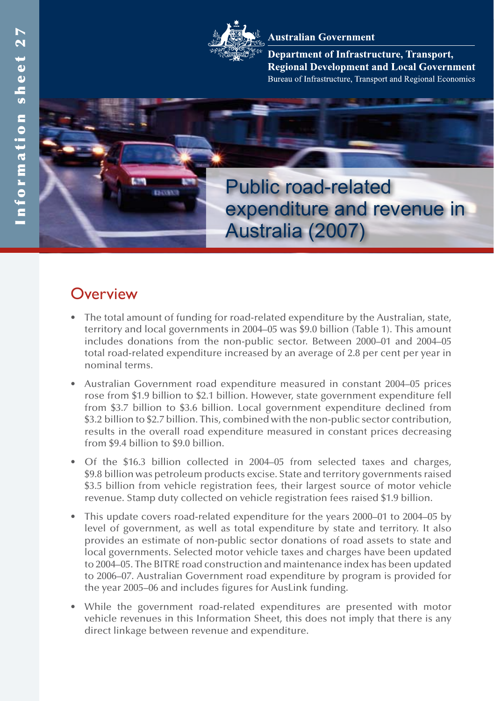#### **Australian Government**

Department of Infrastructure, Transport, **Regional Development and Local Government** Bureau of Infrastructure, Transport and Regional Economics



# **Overview**

- The total amount of funding for road-related expenditure by the Australian, state, territory and local governments in 2004–05 was \$9.0 billion (Table 1). This amount includes donations from the non-public sector. Between 2000–01 and 2004–05 total road-related expenditure increased by an average of 2.8 per cent per year in nominal terms.
- Australian Government road expenditure measured in constant 2004–05 prices rose from \$1.9 billion to \$2.1 billion. However, state government expenditure fell from \$3.7 billion to \$3.6 billion. Local government expenditure declined from \$3.2 billion to \$2.7 billion. This, combined with the non-public sector contribution, results in the overall road expenditure measured in constant prices decreasing from \$9.4 billion to \$9.0 billion.
- Of the \$16.3 billion collected in 2004–05 from selected taxes and charges, \$9.8 billion was petroleum products excise. State and territory governments raised \$3.5 billion from vehicle registration fees, their largest source of motor vehicle revenue. Stamp duty collected on vehicle registration fees raised \$1.9 billion.
- This update covers road-related expenditure for the years 2000–01 to 2004–05 by level of government, as well as total expenditure by state and territory. It also provides an estimate of non-public sector donations of road assets to state and local governments. Selected motor vehicle taxes and charges have been updated to 2004–05. The BITRE road construction and maintenance index has been updated to 2006–07. Australian Government road expenditure by program is provided for the year 2005–06 and includes figures for AusLink funding.
- • While the government road-related expenditures are presented with motor vehicle revenues in this Information Sheet, this does not imply that there is any direct linkage between revenue and expenditure.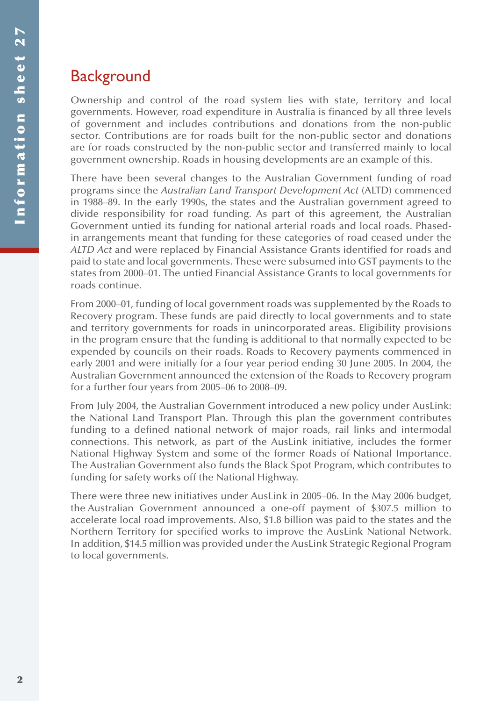# **Background**

Ownership and control of the road system lies with state, territory and local governments. However, road expenditure in Australia is financed by all three levels of government and includes contributions and donations from the non-public sector. Contributions are for roads built for the non-public sector and donations are for roads constructed by the non-public sector and transferred mainly to local government ownership. Roads in housing developments are an example of this.

There have been several changes to the Australian Government funding of road programs since the *Australian Land Transport Development Act* (ALTD) commenced in 1988–89. In the early 1990s, the states and the Australian government agreed to divide responsibility for road funding. As part of this agreement, the Australian Government untied its funding for national arterial roads and local roads. Phasedin arrangements meant that funding for these categories of road ceased under the *ALTD Act* and were replaced by Financial Assistance Grants identified for roads and paid to state and local governments. These were subsumed into GST payments to the states from 2000–01. The untied Financial Assistance Grants to local governments for roads continue.

From 2000–01, funding of local government roads was supplemented by the Roads to Recovery program. These funds are paid directly to local governments and to state and territory governments for roads in unincorporated areas. Eligibility provisions in the program ensure that the funding is additional to that normally expected to be expended by councils on their roads. Roads to Recovery payments commenced in early 2001 and were initially for a four year period ending 30 June 2005. In 2004, the Australian Government announced the extension of the Roads to Recovery program for a further four years from 2005–06 to 2008–09.

From July 2004, the Australian Government introduced a new policy under AusLink: the National Land Transport Plan. Through this plan the government contributes funding to a defined national network of major roads, rail links and intermodal connections. This network, as part of the AusLink initiative, includes the former National Highway System and some of the former Roads of National Importance. The Australian Government also funds the Black Spot Program, which contributes to funding for safety works off the National Highway.

There were three new initiatives under AusLink in 2005–06. In the May 2006 budget, the Australian Government announced a one-off payment of \$307.5 million to accelerate local road improvements. Also, \$1.8 billion was paid to the states and the Northern Territory for specified works to improve the AusLink National Network. In addition, \$14.5 million was provided under the AusLink Strategic Regional Program to local governments.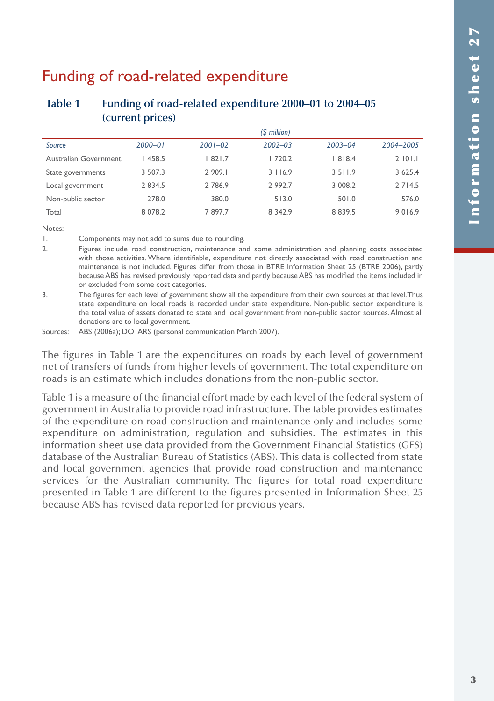# Funding of road-related expenditure

### **Table 1 Funding of road-related expenditure 2000–01 to 2004–05 (current prices)**

|                       |             |             | $$$ million) |             |             |
|-----------------------|-------------|-------------|--------------|-------------|-------------|
| Source                | $2000 - 01$ | $2001 - 02$ | $2002 - 03$  | $2003 - 04$ | 2004-2005   |
| Australian Government | 458.5       | 1821.7      | 720.2        | 1818.4      | 2101.1      |
| State governments     | 3 507.3     | 2 909.1     | 3116.9       | 3 5 1 1 .9  | 3 6 2 5 . 4 |
| Local government      | 2 8 3 4 .5  | 2 786.9     | 2 9 9 2.7    | 3 008.2     | 2 7 1 4.5   |
| Non-public sector     | 278.0       | 380.0       | 513.0        | 501.0       | 576.0       |
| Total                 | 8 0 78.2    | 7897.7      | 8 3 4 2.9    | 8 8 3 9 . 5 | 9016.9      |

Notes:

1. Components may not add to sums due to rounding.

2. Figures include road construction, maintenance and some administration and planning costs associated with those activities. Where identifiable, expenditure not directly associated with road construction and maintenance is not included. Figures differ from those in BTRE Information Sheet 25 (BTRE 2006), partly because ABS has revised previously reported data and partly because ABS has modified the items included in or excluded from some cost categories.

3. The figures for each level of government show all the expenditure from their own sources at that level. Thus state expenditure on local roads is recorded under state expenditure. Non-public sector expenditure is the total value of assets donated to state and local government from non-public sector sources. Almost all donations are to local government.

Sources: ABS (2006a); DOTARS (personal communication March 2007).

The figures in Table 1 are the expenditures on roads by each level of government net of transfers of funds from higher levels of government. The total expenditure on roads is an estimate which includes donations from the non-public sector.

Table 1 is a measure of the financial effort made by each level of the federal system of government in Australia to provide road infrastructure. The table provides estimates of the expenditure on road construction and maintenance only and includes some expenditure on administration, regulation and subsidies. The estimates in this information sheet use data provided from the Government Financial Statistics (GFS) database of the Australian Bureau of Statistics (ABS). This data is collected from state and local government agencies that provide road construction and maintenance services for the Australian community. The figures for total road expenditure presented in Table 1 are different to the figures presented in Information Sheet 25 because ABS has revised data reported for previous years.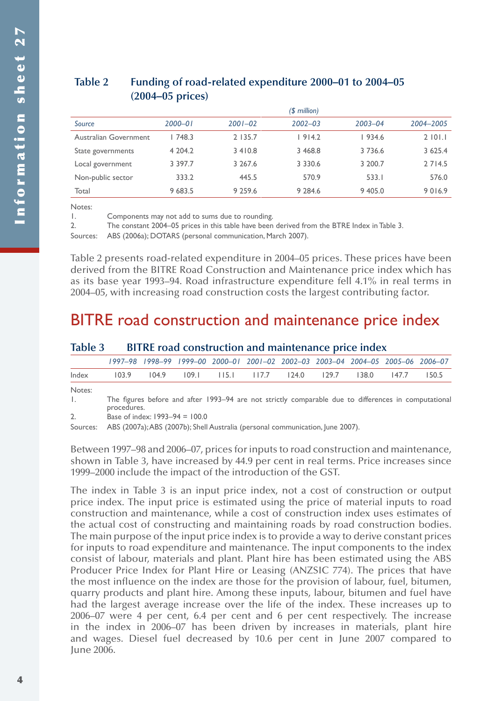### **Table 2 Funding of road-related expenditure 2000–01 to 2004–05 (2004–05 prices)**

|                       |             |             | $$$ million) |             |           |
|-----------------------|-------------|-------------|--------------|-------------|-----------|
| Source                | $2000 - 01$ | $2001 - 02$ | $2002 - 03$  | $2003 - 04$ | 2004-2005 |
| Australian Government | 748.3       | 2 135.7     | 1914.2       | 1934.6      | 2101.1    |
| State governments     | 4 204.2     | 3410.8      | 3 4 6 8 .8   | 3 7 3 6.6   | 3 625.4   |
| Local government      | 3 3 9 7 . 7 | 3 2 6 7 . 6 | 3 3 3 0 . 6  | 3 200.7     | 2 7 1 4.5 |
| Non-public sector     | 333.2       | 445.5       | 570.9        | 533.1       | 576.0     |
| Total                 | 9 683.5     | 9 2 5 9 . 6 | 9 2 8 4.6    | 9 4 0 5 .0  | 9016.9    |

Notes:

1. Components may not add to sums due to rounding.

2. The constant 2004–05 prices in this table have been derived from the BTRE Index in Table 3.

Sources: ABS (2006a); DOTARS (personal communication, March 2007).

Table 2 presents road-related expenditure in 2004–05 prices. These prices have been derived from the BITRE Road Construction and Maintenance price index which has as its base year 1993–94. Road infrastructure expenditure fell 4.1% in real terms in 2004–05, with increasing road construction costs the largest contributing factor.

## BITRE road construction and maintenance price index

| Table 3 BITRE road construction and maintenance price index |  |  |  |  |  |  |  |  |  |
|-------------------------------------------------------------|--|--|--|--|--|--|--|--|--|
|                                                             |  |  |  |  |  |  |  |  |  |

|        |       | 1997-98 1998-99 1999-00 2000-01 2001-02 2002-03 2003-04 2004-05 2005-06 2006-07 |  |                                                 |  |  |       |
|--------|-------|---------------------------------------------------------------------------------|--|-------------------------------------------------|--|--|-------|
| Index  | 103.9 |                                                                                 |  | 104.9 109.1 115.1 117.7 124.0 129.7 138.0 147.7 |  |  | 150.5 |
| Notes: |       |                                                                                 |  |                                                 |  |  |       |

1. The figures before and after 1993–94 are not strictly comparable due to differences in computational procedures.

2. Base of index: 1993–94 = 100.0

Sources: ABS (2007a); ABS (2007b); Shell Australia (personal communication, June 2007).

Between 1997–98 and 2006–07, prices for inputs to road construction and maintenance, shown in Table 3, have increased by 44.9 per cent in real terms. Price increases since 1999–2000 include the impact of the introduction of the GST.

The index in Table 3 is an input price index, not a cost of construction or output price index. The input price is estimated using the price of material inputs to road construction and maintenance, while a cost of construction index uses estimates of the actual cost of constructing and maintaining roads by road construction bodies. The main purpose of the input price index is to provide a way to derive constant prices for inputs to road expenditure and maintenance. The input components to the index consist of labour, materials and plant. Plant hire has been estimated using the ABS Producer Price Index for Plant Hire or Leasing (ANZSIC 774). The prices that have the most influence on the index are those for the provision of labour, fuel, bitumen, quarry products and plant hire. Among these inputs, labour, bitumen and fuel have had the largest average increase over the life of the index. These increases up to 2006–07 were 4 per cent, 6.4 per cent and 6 per cent respectively. The increase in the index in 2006–07 has been driven by increases in materials, plant hire and wages. Diesel fuel decreased by 10.6 per cent in June 2007 compared to June 2006.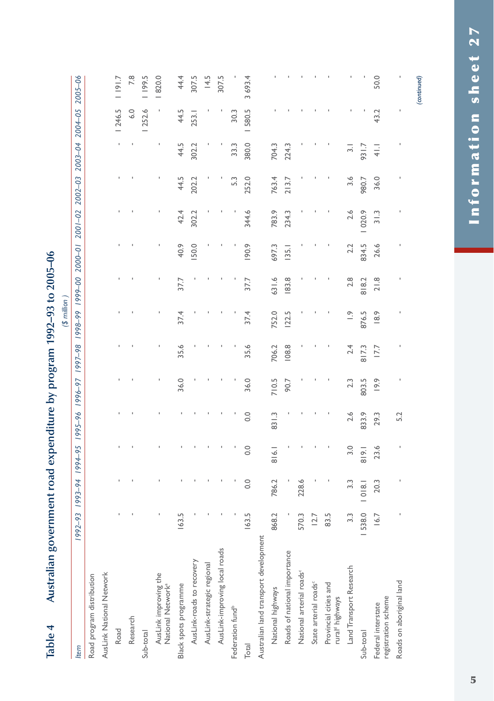| - שופטטו                                               |                |        |                                               |       |       |       |                 |       |              |       |                 |                         |         |         |
|--------------------------------------------------------|----------------|--------|-----------------------------------------------|-------|-------|-------|-----------------|-------|--------------|-------|-----------------|-------------------------|---------|---------|
|                                                        |                |        |                                               |       |       |       | (3 million)     |       |              |       |                 |                         |         |         |
| <b>Item</b>                                            |                |        | 86-2661 26-9661 96-5661 56-661 66-661 56-7661 |       |       |       | 00-6661 66-8661 |       | 10-0007      |       | 2001-02 2002-03 | 2003-04 2004-05 2005-06 |         |         |
| Road program distribution                              |                |        |                                               |       |       |       |                 |       |              |       |                 |                         |         |         |
| AusLink National Network                               |                |        |                                               |       |       |       |                 |       |              |       |                 |                         |         |         |
| Road                                                   |                |        |                                               |       |       |       |                 |       |              |       |                 |                         | 1 246.5 | 1191.7  |
| Research                                               |                |        |                                               |       |       |       |                 |       |              |       |                 |                         | 6.0     | 7.8     |
| Sub-total                                              |                |        |                                               |       |       |       |                 |       |              |       |                 |                         | 252.6   | 1 199.5 |
| AusLink improving the<br>National Network <sup>a</sup> |                |        |                                               |       |       |       |                 |       |              |       |                 |                         |         | 1820.0  |
| Black spots programme                                  | 163.           |        |                                               |       | 36.0  | 35.6  | 37.4            | 37.7  | 40.9         | 42.4  | 44.5            | 44.5                    | 44.5    | 44.4    |
| AusLink-roads to recovery                              |                |        |                                               |       |       |       |                 |       | <b>150.0</b> | 302.2 | 202.2           | 302.2                   | 253.1   | 307.5   |
| AusLink-strategic regional                             |                |        |                                               |       |       |       |                 |       |              |       |                 |                         |         | 14.5    |
| AusLink-improving local roads                          |                |        |                                               |       |       |       |                 |       |              |       |                 |                         |         | 307.5   |
| Federation fund <sup>b</sup>                           |                |        |                                               |       |       |       |                 |       |              |       | 5.3             | 33.3                    | 30.3    |         |
| Total                                                  | 163.5          | 0.0    | 0.0                                           | 0.0   | 36.0  | 35.6  | 37.4            | 37.7  | 190.9        | 344.6 | 252.0           | 380.0                   | 580.5   | 3 693.4 |
| Australian land transport development                  |                |        |                                               |       |       |       |                 |       |              |       |                 |                         |         |         |
| National highways                                      | 868.2          | 786.2  | 816.1                                         | 831.3 | 710.5 | 706.2 | 752.0           | 631.6 | 697.3        | 783.9 | 763.4           | 704.3                   |         |         |
| Roads of national importance                           |                |        |                                               |       | 90.7  | 108.8 | 122.5           | 183.8 | 135.1        | 234.3 | 213.7           | 224.3                   |         |         |
| National arterial roads <sup>c</sup>                   | 570.           | 228.6  |                                               |       |       |       |                 |       |              |       |                 |                         |         |         |
| State arterial roads <sup>c</sup>                      | $\overline{2}$ |        |                                               |       |       |       |                 |       |              |       |                 |                         |         |         |
| Provincial cities and<br>rural <sup>d</sup> highways   | 83.            |        |                                               |       |       |       |                 |       |              |       |                 |                         |         |         |
| Land Transport Research                                | $\ddot{ }$     | 3.3    | 3.0                                           | 2.6   | 2.3   | 2.4   | $\frac{1}{2}$   | 2.8   | 2.2          | 2.6   | 3.6             | $\overline{3}$          |         |         |
| Sub-total                                              | 538.0          | 1018.1 | 319.1                                         | 833.9 | 803.5 | 817.3 | 876.5           | 818.2 | 834.5        | 020.9 | 980.7           | 931.7                   |         |         |
| registration scheme<br>Federal interstate              | $\frac{6}{5}$  | 20.3   | 23.6                                          | 29.3  | 19.9  | 17.7  | 18.9            | 21.8  | 26.6         | 31.3  | 36.0            | $\frac{1}{4}$           | 43.2    | 50.0    |
| Roads on aboriginal land                               |                |        |                                               | 5.2   |       |       |                 |       |              |       |                 |                         |         |         |

# Australian government road expenditure by program 1992–93 to 2005–06 **Table 4 Australian government road expenditure by program 1992–93 to 2005–06** Table 4

*(continued)*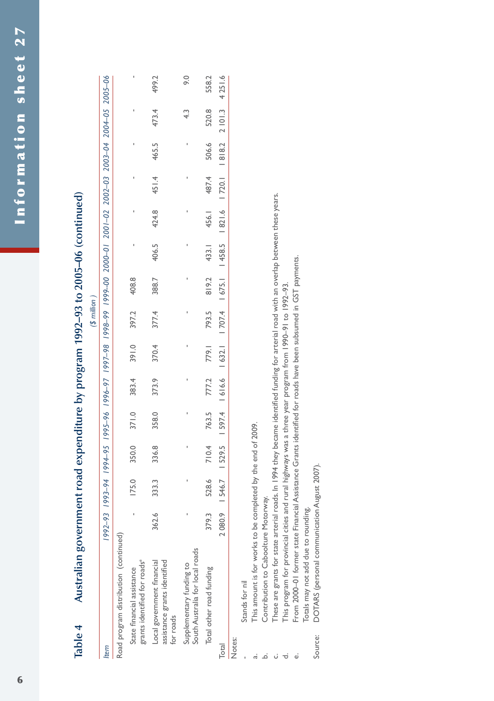| ישוטוני<br>- |                                                                         |             |       |                                                                                                       |       |       |       |                 |       |       |       |                            |       |       |          |
|--------------|-------------------------------------------------------------------------|-------------|-------|-------------------------------------------------------------------------------------------------------|-------|-------|-------|-----------------|-------|-------|-------|----------------------------|-------|-------|----------|
|              |                                                                         |             |       |                                                                                                       |       |       |       | $$$ million $)$ |       |       |       |                            |       |       |          |
| tem          |                                                                         | $1992 - 93$ |       | 90-5007 104-62 1995-96 1996-97 1997-98 1999-99 190002 100-001 2001-02 1001-02 1004-03 1004-04 1995-09 |       |       |       |                 |       |       |       |                            |       |       |          |
|              | Road program distribution (continued)                                   |             |       |                                                                                                       |       |       |       |                 |       |       |       |                            |       |       |          |
|              | grants identified for roads <sup>e</sup><br>State financial assistance  |             | 175.0 | 350.0                                                                                                 | 371.0 | 383.4 | 391.0 | 397.2           | 408.8 |       |       |                            |       |       |          |
|              | assistance grants identified<br>Local government financial<br>for roads | 362.6       | 333.3 | 336.8                                                                                                 | 358.0 | 373.9 | 370.4 | 377.4           | 388.7 | 406.5 | 424.8 | 451.4                      | 465.5 | 473.4 | 499.2    |
|              | South Australia for local roads<br>Supplementary funding to             |             |       |                                                                                                       |       |       |       |                 |       |       |       |                            |       | 43    | 0.6      |
|              | Total other road funding                                                | 379.3       | 528.6 | 710.4                                                                                                 | 763.5 | 777.2 | 779.1 | 793.5           | 819.2 | 433.1 | 456.1 | 487.4                      | 506.6 | 520.8 | 558.2    |
| Total        |                                                                         | 2080.9      |       | 546.7  529.5  597.4  616.6  632.1  707.4  675.1  458.5  821.6                                         |       |       |       |                 |       |       |       | $1720.1$ $1818.2$ $2101.3$ |       |       | 4 25 1.6 |
| Notes:       |                                                                         |             |       |                                                                                                       |       |       |       |                 |       |       |       |                            |       |       |          |
|              | Stands for nil                                                          |             |       |                                                                                                       |       |       |       |                 |       |       |       |                            |       |       |          |
|              | This amount is for works to be completed by the end of 2009.            |             |       |                                                                                                       |       |       |       |                 |       |       |       |                            |       |       |          |
|              | Contribution to Caboolture Motorway.                                    |             |       |                                                                                                       |       |       |       |                 |       |       |       |                            |       |       |          |

# Australian government road expenditure by program  $1992-93$  to  $2005-06$  (continued) **Table 4 Australian government road expenditure by program 1992–93 to 2005–06 (continued)** Table 4

These are grants for state arterial roads. In 1994 they became identified funding for arterial road with an overlap between these years. c. These are grants for state arterial roads. In 1994 they became identified funding for arterial road with an overlap between these years. ن

This program for provincial cities and rural highways was a three year program from 1990-91 to 1992-93. d. This program for provincial cities and rural highways was a three year program from 1990–91 to 1992–93. ு ல்

From 2000–01 former state Financial Assistance Grants identified for roads have been subsumed in GST payments. e. From 2000–01 former state Financial Assistance Grants identified for roads have been subsumed in GST payments.

Totals may not add due to rounding. Totals may not add due to rounding.

DOTARS (personal communication August 2007). Source: DOTARS (personal communication August 2007).Source: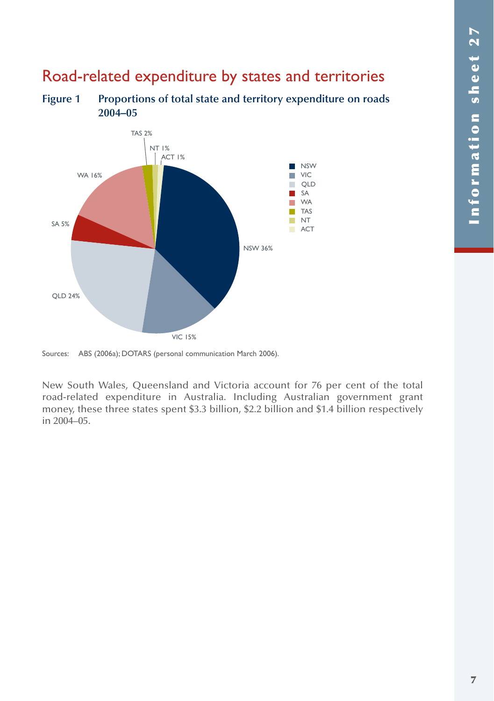# Road-related expenditure by states and territories

**Figure 1 Proportions of total state and territory expenditure on roads 2004–05**



Sources: ABS (2006a); DOTARS (personal communication March 2006).

New South Wales, Queensland and Victoria account for 76 per cent of the total road-related expenditure in Australia. Including Australian government grant money, these three states spent \$3.3 billion, \$2.2 billion and \$1.4 billion respectively in 2004–05.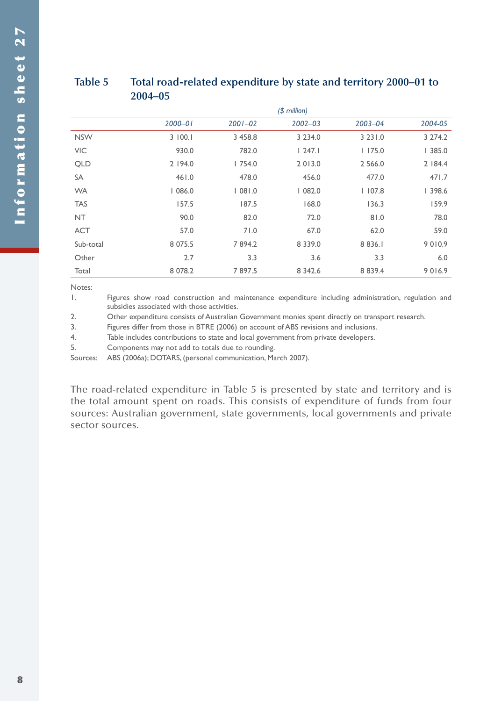### **Table 5 Total road-related expenditure by state and territory 2000–01 to 2004–05**

|            |             |             | $$$ million) |             |          |
|------------|-------------|-------------|--------------|-------------|----------|
|            | $2000 - 01$ | $2001 - 02$ | $2002 - 03$  | $2003 - 04$ | 2004-05  |
| <b>NSW</b> | 3   00.1    | 3 458.8     | 3 2 3 4 .0   | 3 2 3 1 .0  | 3 274.2  |
| <b>VIC</b> | 930.0       | 782.0       | 247.1        | 1175.0      | 1385.0   |
| <b>QLD</b> | 2 194.0     | 1754.0      | 2 0 1 3 .0   | 2 5 6 6.0   | 2   84.4 |
| <b>SA</b>  | 461.0       | 478.0       | 456.0        | 477.0       | 471.7    |
| <b>WA</b>  | 1086.0      | 1081.0      | 1082.0       | 1107.8      | 398.6    |
| <b>TAS</b> | 157.5       | 187.5       | 168.0        | 136.3       | 159.9    |
| <b>NT</b>  | 90.0        | 82.0        | 72.0         | 81.0        | 78.0     |
| <b>ACT</b> | 57.0        | 71.0        | 67.0         | 62.0        | 59.0     |
| Sub-total  | 8 0 7 5 .5  | 7894.2      | 8 3 3 9 . 0  | 8 8 3 6.1   | 9010.9   |
| Other      | 2.7         | 3.3         | 3.6          | 3.3         | 6.0      |
| Total      | 8 0 7 8 .2  | 7897.5      | 8 3 4 2.6    | 8 8 3 9 . 4 | 9016.9   |

Notes:

1. Figures show road construction and maintenance expenditure including administration, regulation and subsidies associated with those activities.

2. Other expenditure consists of Australian Government monies spent directly on transport research.

3. Figures differ from those in BTRE (2006) on account of ABS revisions and inclusions.

4. Table includes contributions to state and local government from private developers.

5. Components may not add to totals due to rounding.

Sources: ABS (2006a); DOTARS, (personal communication, March 2007).

The road-related expenditure in Table 5 is presented by state and territory and is the total amount spent on roads. This consists of expenditure of funds from four sources: Australian government, state governments, local governments and private sector sources.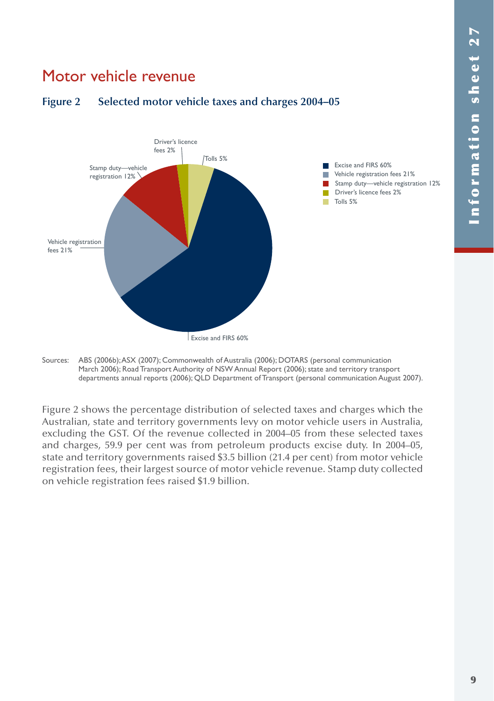# Motor vehicle revenue



### **Figure 2 Selected motor vehicle taxes and charges 2004–05**

Sources: ABS (2006b); ASX (2007); Commonwealth of Australia (2006); DOTARS (personal communication March 2006); Road Transport Authority of NSW Annual Report (2006); state and territory transport departments annual reports (2006); QLD Department of Transport (personal communication August 2007).

Figure 2 shows the percentage distribution of selected taxes and charges which the Australian, state and territory governments levy on motor vehicle users in Australia, excluding the GST. Of the revenue collected in 2004–05 from these selected taxes and charges, 59.9 per cent was from petroleum products excise duty. In 2004–05, state and territory governments raised \$3.5 billion (21.4 per cent) from motor vehicle registration fees, their largest source of motor vehicle revenue. Stamp duty collected on vehicle registration fees raised \$1.9 billion.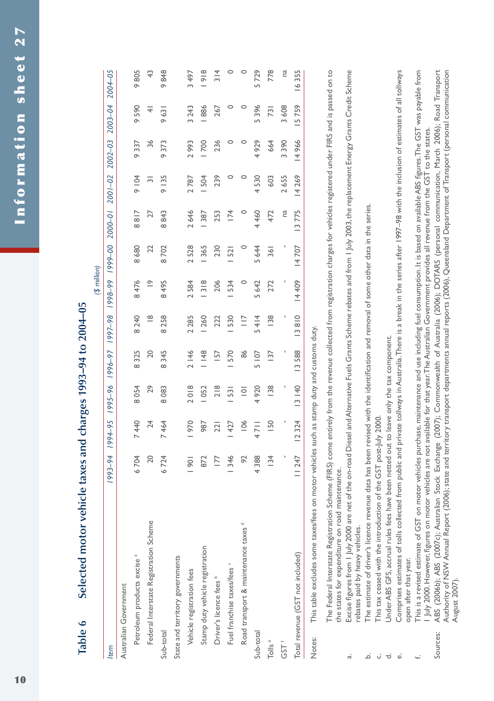| $-993 - 94 + 2004 - 05$                                |
|--------------------------------------------------------|
| VELLIUM DIN SOND CONDINUM<br>I, soudcyd yuc sovet olyn |
|                                                        |
|                                                        |
|                                                        |
|                                                        |
| Selected motor ver                                     |
|                                                        |
| $\overline{d}$<br>I                                    |

|                                               |                                                        |               |                |                    |                       | $($ \$ million  |                 |                         |             |                 |                         |                 |
|-----------------------------------------------|--------------------------------------------------------|---------------|----------------|--------------------|-----------------------|-----------------|-----------------|-------------------------|-------------|-----------------|-------------------------|-----------------|
| Item                                          | $69 - 294$                                             | 1994-95       | 1995-96        | 1996-97            | 1997-98               | 1998-99         | 00-6661         | $2000 - 01$             | $2001 - 02$ | $2002 - 03$     | 2003-04                 | 2004-05         |
| Australian Government                         |                                                        |               |                |                    |                       |                 |                 |                         |             |                 |                         |                 |
| Petroleum products excise <sup>a</sup>        | 6704                                                   | 7440          | 8054           | 8325               | 8 2 4 0               | 8476            | 8680            | $rac{1}{8}$<br>$\infty$ | 9104        | 9337            | 590                     | 805<br>ä        |
| Federal Interstate Registration Scheme        | 20                                                     | 24            | 29             | 20                 | $\frac{8}{1}$         | $\tilde{=}$     | 22              | 27                      | $\sim$      | 36              | $\overline{\mathbf{A}}$ | 43              |
| Sub-total                                     | 6724                                                   | 464           | 8083           | 345<br>$\infty$    | 8258                  | 495<br>$\infty$ | 8702            | 843<br>$\infty$         | 9135        | 373<br>$\sigma$ | 9631                    | 848<br>ö        |
| State and territory governments               |                                                        |               |                |                    |                       |                 |                 |                         |             |                 |                         |                 |
| Vehicle registration fees                     | $\overline{5}$                                         | 970           | 2018           | 2146               | 2 2 8 5               | 2584            | 2528            | 2646                    | 2787        | 2993            | 3 2 4 3                 | 3 497           |
| Stamp duty vehicle registration               | 872                                                    | 987           | 1052           | 1148               | 260                   | $\frac{318}{2}$ | 365             | 387                     | 504         | 700             | 886                     | $\frac{8}{2}$   |
| Driver's licence fees b                       | 177                                                    | 221           | 218            | 157                | 222                   | 206             | 230             | 253                     | 239         | 236             | 267                     | $\frac{314}{5}$ |
| Fuel franchise taxes/fees <                   | 346                                                    | 427           | 531            | 570                | 530                   | 534             | $\overline{52}$ | 174                     | 0           | 0               |                         |                 |
| Road transport & maintenance taxes d          | 92                                                     | 106           | $\overline{a}$ | 86                 | $\equiv$              | $\circ$         | 0               | $\circ$                 | 0           | 0               | 0                       |                 |
| Sub-total                                     | 4388                                                   | $\equiv$<br>4 | 4920           | 5 1 07             | 414<br>$\overline{5}$ | 5642            | 5644            | 4 460                   | 4530        | 4929            | 5396                    | 5729            |
| Tolls <sup>e</sup>                            | 134                                                    | <b>SO</b>     | $\frac{8}{38}$ | 137                | $\frac{8}{38}$        | 272             | $\overline{36}$ | 472                     | 603         | 664             | $\overline{731}$        | 778             |
| GST <sup>+</sup>                              |                                                        |               |                |                    |                       |                 | ı               | na                      | 2655        | 3390            | 3608                    | na              |
| Total revenue (GST not included)              | 11247                                                  | 12324         | 13140          | 588<br>$\tilde{=}$ | 13810                 | 14 409          | 14707           | 13775                   | 14269       | 14966           | 5759                    | 16355           |
| This table excludes some taxes/fees<br>Notes: | on motor vehicles such as stamp duty and customs duty. |               |                |                    |                       |                 |                 |                         |             |                 |                         |                 |

The Federal Interstate Registration Scheme (FIRS) come entirely from the revenue collected from registration charges for vehicles registered under FIRS and is passed on to The Federal Interstate Registration Scheme (FIRS) come entirely from the revenue collected from registration charges for vehicles registered under FIRS and is passed on to the states for expenditure on road maintenance. the states for expenditure on road maintenance.

a. Excise figures from 1 July 2000 are net of the on-road Diesel and Alternative Fuels Grants Scheme rebates and from 1 July 2003, the replacement Energy Grants Credit Scheme Excise figures from I July 2000 are net of the on-road Diesel and Alternative Fuels Grants Scheme rebates and from I July 2003, the replacement Energy Grants Credit Scheme rebates paid by heavy vehicles. rebates paid by heavy vehicles. <u>ٰ</u>  $\vec{a}$ 

The estimate of driver's licence revenue data has been revised with the identification and removal of some other data in the series. b. The estimate of driver's licence revenue data has been revised with the identification and removal of some other data in the series.

This tax ceased with the introduction of the GST post-July 2000. c. This tax ceased with the introduction of the GST post-July 2000. ن.

Under ABS GFS, accrual rules fees have been netted out to leave only the tax component. d. Under ABS GFS, accrual rules fees have been netted out to leave only the tax component.  $\overrightarrow{\mathrm{C}}$ 

Comprises estimates of tolls collected from public and private tollways in Australia.There is a break in the series after 1997–98 with the inclusion of estimates of all tollways e. Comprises estimates of tolls collected from public and private tollways in Australia. There is a break in the series after 1997–98 with the inclusion of estimates of all tollways open after that year. open after that year. نه

This is a revised estimate of GST on motor vehicles purchase, maintenance and use including fuel consumption. It is based on available ABS figures.The GST was payable from f. This is a revised estimate of GST on motor vehicles purchase, maintenance and use including fuel consumption. It is based on available ABS figures. The GST was payable from July 2000. However, figures on motor vehicles are not available for that year. The Australian Government provides all revenue from the GST to the states. 1 July 2000. However, figures on motor vehicles are not available for that year. The Australian Government provides all revenue from the GST to the states.

ABS (2006b); ABS (2007c); Australian Stock Exchange (2007); Commonwealth of Australia (2006); DOTARS (personal communication, March 2006); Road Transport Sources: ABS (2006b); ABS (2007c); Australian Stock Exchange (2007); Commonwealth of Australia (2006); DOTARS (personal communication, March 2006); Road Transport Authority of NSW Annual Report (2006); state and territory transport departments annual reports (2006), Queensland Department of Transport (personal communication Authority of NSW Annual Report (2006); state and territory transport departments annual reports (2006), Queensland Department of Transport (personal communication August 2007). August 2007).Sources: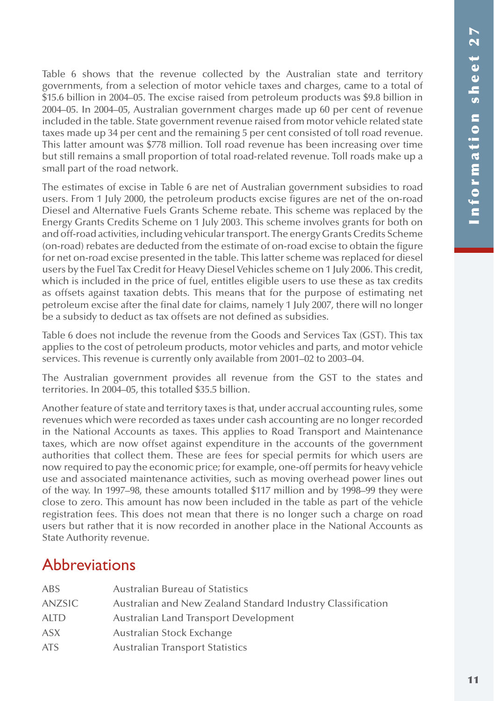Table 6 shows that the revenue collected by the Australian state and territory governments, from a selection of motor vehicle taxes and charges, came to a total of \$15.6 billion in 2004–05. The excise raised from petroleum products was \$9.8 billion in 2004–05. In 2004–05, Australian government charges made up 60 per cent of revenue included in the table. State government revenue raised from motor vehicle related state taxes made up 34 per cent and the remaining 5 per cent consisted of toll road revenue. This latter amount was \$778 million. Toll road revenue has been increasing over time but still remains a small proportion of total road-related revenue. Toll roads make up a small part of the road network.

The estimates of excise in Table 6 are net of Australian government subsidies to road users. From 1 July 2000, the petroleum products excise figures are net of the on-road Diesel and Alternative Fuels Grants Scheme rebate. This scheme was replaced by the Energy Grants Credits Scheme on 1 July 2003. This scheme involves grants for both on and off-road activities, including vehicular transport. The energy Grants Credits Scheme (on-road) rebates are deducted from the estimate of on-road excise to obtain the figure for net on-road excise presented in the table. This latter scheme was replaced for diesel users by the Fuel Tax Credit for Heavy Diesel Vehicles scheme on 1 July 2006. This credit, which is included in the price of fuel, entitles eligible users to use these as tax credits as offsets against taxation debts. This means that for the purpose of estimating net petroleum excise after the final date for claims, namely 1 July 2007, there will no longer be a subsidy to deduct as tax offsets are not defined as subsidies.

Table 6 does not include the revenue from the Goods and Services Tax (GST). This tax applies to the cost of petroleum products, motor vehicles and parts, and motor vehicle services. This revenue is currently only available from 2001–02 to 2003–04.

The Australian government provides all revenue from the GST to the states and territories. In 2004–05, this totalled \$35.5 billion.

Another feature of state and territory taxes is that, under accrual accounting rules, some revenues which were recorded as taxes under cash accounting are no longer recorded in the National Accounts as taxes. This applies to Road Transport and Maintenance taxes, which are now offset against expenditure in the accounts of the government authorities that collect them. These are fees for special permits for which users are now required to pay the economic price; for example, one-off permits for heavy vehicle use and associated maintenance activities, such as moving overhead power lines out of the way. In 1997–98, these amounts totalled \$117 million and by 1998–99 they were close to zero. This amount has now been included in the table as part of the vehicle registration fees. This does not mean that there is no longer such a charge on road users but rather that it is now recorded in another place in the National Accounts as State Authority revenue.

# **Abbreviations**

| <b>ABS</b>    | <b>Australian Bureau of Statistics</b>                      |
|---------------|-------------------------------------------------------------|
| <b>ANZSIC</b> | Australian and New Zealand Standard Industry Classification |
| <b>ALTD</b>   | Australian Land Transport Development                       |
| <b>ASX</b>    | Australian Stock Exchange                                   |
| <b>ATS</b>    | <b>Australian Transport Statistics</b>                      |